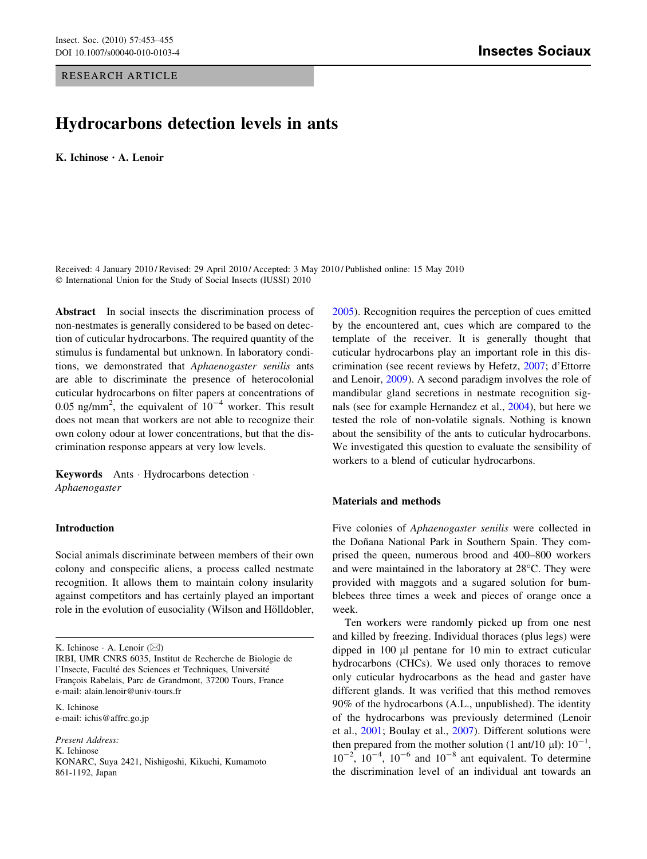### RESEARCH ARTICLE

# Hydrocarbons detection levels in ants

K. Ichinose • A. Lenoir

Received: 4 January 2010 / Revised: 29 April 2010 / Accepted: 3 May 2010 / Published online: 15 May 2010 © International Union for the Study of Social Insects (IUSSI) 2010

Abstract In social insects the discrimination process of non-nestmates is generally considered to be based on detection of cuticular hydrocarbons. The required quantity of the stimulus is fundamental but unknown. In laboratory conditions, we demonstrated that Aphaenogaster senilis ants are able to discriminate the presence of heterocolonial cuticular hydrocarbons on filter papers at concentrations of 0.05 ng/mm<sup>2</sup>, the equivalent of  $10^{-4}$  worker. This result does not mean that workers are not able to recognize their own colony odour at lower concentrations, but that the discrimination response appears at very low levels.

Keywords Ants - Hydrocarbons detection - Aphaenogaster

## Introduction

Social animals discriminate between members of their own colony and conspecific aliens, a process called nestmate recognition. It allows them to maintain colony insularity against competitors and has certainly played an important role in the evolution of eusociality (Wilson and Hölldobler,

K. Ichinose e-mail: ichis@affrc.go.jp

Present Address: K. Ichinose KONARC, Suya 2421, Nishigoshi, Kikuchi, Kumamoto 861-1192, Japan

[2005](#page-2-0)). Recognition requires the perception of cues emitted by the encountered ant, cues which are compared to the template of the receiver. It is generally thought that cuticular hydrocarbons play an important role in this discrimination (see recent reviews by Hefetz, [2007](#page-2-0); d'Ettorre and Lenoir, [2009\)](#page-2-0). A second paradigm involves the role of mandibular gland secretions in nestmate recognition signals (see for example Hernandez et al., [2004\)](#page-2-0), but here we tested the role of non-volatile signals. Nothing is known about the sensibility of the ants to cuticular hydrocarbons. We investigated this question to evaluate the sensibility of workers to a blend of cuticular hydrocarbons.

#### Materials and methods

Five colonies of Aphaenogaster senilis were collected in the Doñana National Park in Southern Spain. They comprised the queen, numerous brood and 400–800 workers and were maintained in the laboratory at  $28^{\circ}$ C. They were provided with maggots and a sugared solution for bumblebees three times a week and pieces of orange once a week.

Ten workers were randomly picked up from one nest and killed by freezing. Individual thoraces (plus legs) were dipped in  $100 \mu l$  pentane for  $10 \mu l$  min to extract cuticular hydrocarbons (CHCs). We used only thoraces to remove only cuticular hydrocarbons as the head and gaster have different glands. It was verified that this method removes 90% of the hydrocarbons (A.L., unpublished). The identity of the hydrocarbons was previously determined (Lenoir et al., [2001](#page-2-0); Boulay et al., [2007](#page-2-0)). Different solutions were then prepared from the mother solution (1 ant/10  $\mu$ l):  $10^{-1}$ ,  $10^{-2}$ ,  $10^{-4}$ ,  $10^{-6}$  and  $10^{-8}$  ant equivalent. To determine the discrimination level of an individual ant towards an

K. Ichinose  $\cdot$  A. Lenoir ( $\boxtimes$ )

IRBI, UMR CNRS 6035, Institut de Recherche de Biologie de l'Insecte, Faculté des Sciences et Techniques, Université François Rabelais, Parc de Grandmont, 37200 Tours, France e-mail: alain.lenoir@univ-tours.fr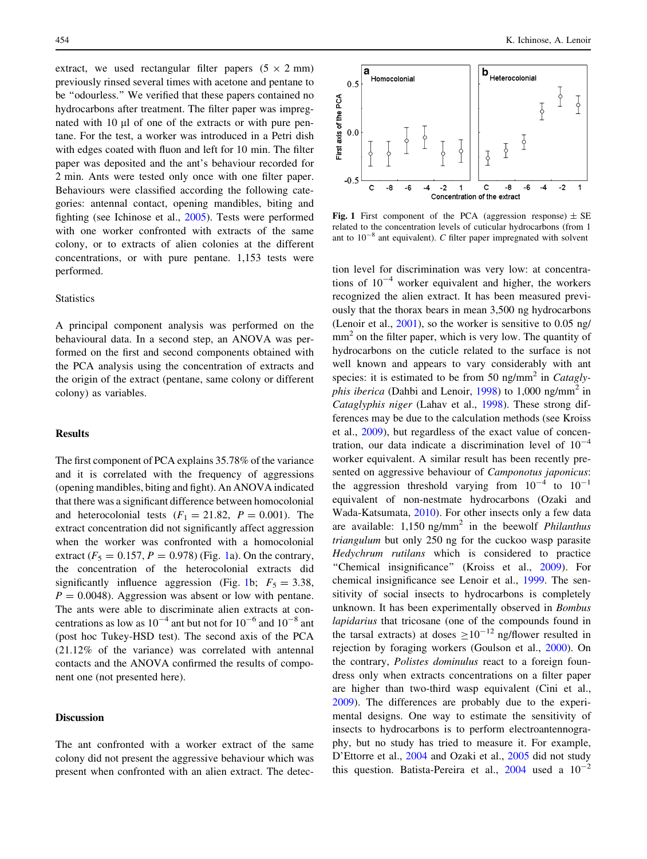extract, we used rectangular filter papers  $(5 \times 2 \text{ mm})$ previously rinsed several times with acetone and pentane to be ''odourless.'' We verified that these papers contained no hydrocarbons after treatment. The filter paper was impregnated with 10 µl of one of the extracts or with pure pentane. For the test, a worker was introduced in a Petri dish with edges coated with fluon and left for 10 min. The filter paper was deposited and the ant's behaviour recorded for 2 min. Ants were tested only once with one filter paper. Behaviours were classified according the following categories: antennal contact, opening mandibles, biting and fighting (see Ichinose et al., [2005](#page-2-0)). Tests were performed with one worker confronted with extracts of the same colony, or to extracts of alien colonies at the different concentrations, or with pure pentane. 1,153 tests were performed.

#### **Statistics**

A principal component analysis was performed on the behavioural data. In a second step, an ANOVA was performed on the first and second components obtained with the PCA analysis using the concentration of extracts and the origin of the extract (pentane, same colony or different colony) as variables.

### Results

The first component of PCA explains 35.78% of the variance and it is correlated with the frequency of aggressions (opening mandibles, biting and fight). An ANOVA indicated that there was a significant difference between homocolonial and heterocolonial tests  $(F_1 = 21.82, P = 0.001)$ . The extract concentration did not significantly affect aggression when the worker was confronted with a homocolonial extract ( $F_5 = 0.157$ ,  $P = 0.978$ ) (Fig. 1a). On the contrary, the concentration of the heterocolonial extracts did significantly influence aggression (Fig. 1b;  $F_5 = 3.38$ ,  $P = 0.0048$ . Aggression was absent or low with pentane. The ants were able to discriminate alien extracts at concentrations as low as  $10^{-4}$  ant but not for  $10^{-6}$  and  $10^{-8}$  ant (post hoc Tukey-HSD test). The second axis of the PCA (21.12% of the variance) was correlated with antennal contacts and the ANOVA confirmed the results of component one (not presented here).

#### Discussion

The ant confronted with a worker extract of the same colony did not present the aggressive behaviour which was present when confronted with an alien extract. The detec-



Fig. 1 First component of the PCA (aggression response)  $\pm$  SE related to the concentration levels of cuticular hydrocarbons (from 1 ant to  $10^{-8}$  ant equivalent). C filter paper impregnated with solvent

tion level for discrimination was very low: at concentrations of  $10^{-4}$  worker equivalent and higher, the workers recognized the alien extract. It has been measured previously that the thorax bears in mean 3,500 ng hydrocarbons (Lenoir et al., [2001\)](#page-2-0), so the worker is sensitive to 0.05 ng/  $mm<sup>2</sup>$  on the filter paper, which is very low. The quantity of hydrocarbons on the cuticle related to the surface is not well known and appears to vary considerably with ant species: it is estimated to be from 50 ng/mm<sup>2</sup> in *Cataglyphis iberica* (Dahbi and Lenoir, [1998](#page-2-0)) to 1,000 ng/mm<sup>2</sup> in Cataglyphis niger (Lahav et al., [1998](#page-2-0)). These strong differences may be due to the calculation methods (see Kroiss et al., [2009\)](#page-2-0), but regardless of the exact value of concentration, our data indicate a discrimination level of  $10^{-4}$ worker equivalent. A similar result has been recently presented on aggressive behaviour of Camponotus japonicus: the aggression threshold varying from  $10^{-4}$  to  $10^{-1}$ equivalent of non-nestmate hydrocarbons (Ozaki and Wada-Katsumata, [2010](#page-2-0)). For other insects only a few data are available:  $1,150$  ng/mm<sup>2</sup> in the beewolf *Philanthus* triangulum but only 250 ng for the cuckoo wasp parasite Hedychrum rutilans which is considered to practice "Chemical insignificance" (Kroiss et al., [2009](#page-2-0)). For chemical insignificance see Lenoir et al., [1999](#page-2-0). The sensitivity of social insects to hydrocarbons is completely unknown. It has been experimentally observed in Bombus lapidarius that tricosane (one of the compounds found in the tarsal extracts) at doses  $>10^{-12}$  ng/flower resulted in rejection by foraging workers (Goulson et al., [2000](#page-2-0)). On the contrary, Polistes dominulus react to a foreign foundress only when extracts concentrations on a filter paper are higher than two-third wasp equivalent (Cini et al., [2009](#page-2-0)). The differences are probably due to the experimental designs. One way to estimate the sensitivity of insects to hydrocarbons is to perform electroantennography, but no study has tried to measure it. For example, D'Ettorre et al., [2004](#page-2-0) and Ozaki et al., [2005](#page-2-0) did not study this question. Batista-Pereira et al.,  $2004$  used a  $10^{-2}$